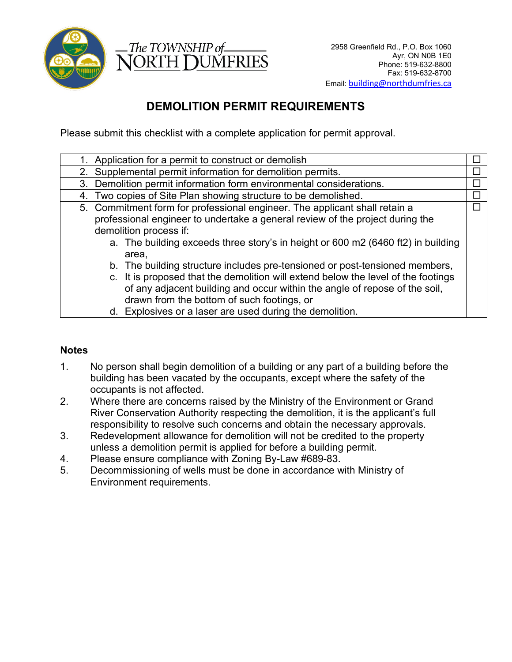



# **DEMOLITION PERMIT REQUIREMENTS**

Please submit this checklist with a complete application for permit approval.

| 1. Application for a permit to construct or demolish                              |        |
|-----------------------------------------------------------------------------------|--------|
| 2. Supplemental permit information for demolition permits.                        | $\Box$ |
| 3. Demolition permit information form environmental considerations.               | $\Box$ |
| 4. Two copies of Site Plan showing structure to be demolished.                    |        |
| 5. Commitment form for professional engineer. The applicant shall retain a        | П      |
| professional engineer to undertake a general review of the project during the     |        |
| demolition process if:                                                            |        |
| a. The building exceeds three story's in height or 600 m2 (6460 ft2) in building  |        |
| area,                                                                             |        |
| b. The building structure includes pre-tensioned or post-tensioned members,       |        |
| c. It is proposed that the demolition will extend below the level of the footings |        |
| of any adjacent building and occur within the angle of repose of the soil,        |        |
| drawn from the bottom of such footings, or                                        |        |
| d Explosives or a laser are used during the demolition                            |        |

d. Explosives or a laser are used during the demolition.

## **Notes**

- 1. No person shall begin demolition of a building or any part of a building before the building has been vacated by the occupants, except where the safety of the occupants is not affected.
- 2. Where there are concerns raised by the Ministry of the Environment or Grand River Conservation Authority respecting the demolition, it is the applicant's full responsibility to resolve such concerns and obtain the necessary approvals.
- 3. Redevelopment allowance for demolition will not be credited to the property unless a demolition permit is applied for before a building permit.
- 4. Please ensure compliance with Zoning By-Law #689-83.
- 5. Decommissioning of wells must be done in accordance with Ministry of Environment requirements.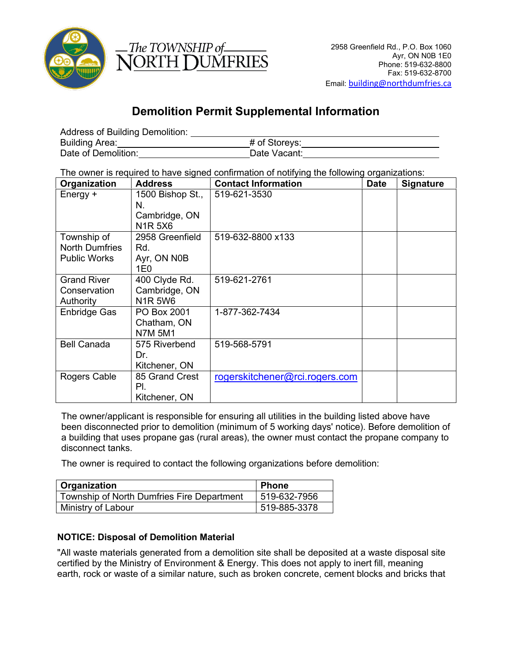



# **Demolition Permit Supplemental Information**

Address of Building Demolition:

| Building Area:      | # of Storeys: |  |
|---------------------|---------------|--|
| Date of Demolition: | Date Vacant:  |  |

The owner is required to have signed confirmation of notifying the following organizations:

| Organization                                                | <b>Address</b>                                                                          | <b>Contact Information</b>     | <b>Date</b> | <b>Signature</b> |
|-------------------------------------------------------------|-----------------------------------------------------------------------------------------|--------------------------------|-------------|------------------|
| Energy +                                                    | 1500 Bishop St.,<br>N.<br>Cambridge, ON<br>N <sub>1</sub> R <sub>5</sub> X <sub>6</sub> | 519-621-3530                   |             |                  |
| Township of<br><b>North Dumfries</b><br><b>Public Works</b> | 2958 Greenfield<br>Rd.<br>Ayr, ON N0B<br>1E0                                            | 519-632-8800 x133              |             |                  |
| <b>Grand River</b><br>Conservation<br>Authority             | 400 Clyde Rd.<br>Cambridge, ON<br><b>N1R5W6</b>                                         | 519-621-2761                   |             |                  |
| Enbridge Gas                                                | PO Box 2001<br>Chatham, ON<br><b>N7M 5M1</b>                                            | 1-877-362-7434                 |             |                  |
| <b>Bell Canada</b>                                          | 575 Riverbend<br>Dr.<br>Kitchener, ON                                                   | 519-568-5791                   |             |                  |
| Rogers Cable                                                | 85 Grand Crest<br>PI.<br>Kitchener, ON                                                  | rogerskitchener@rci.rogers.com |             |                  |

The owner/applicant is responsible for ensuring all utilities in the building listed above have been disconnected prior to demolition (minimum of 5 working days' notice). Before demolition of a building that uses propane gas (rural areas), the owner must contact the propane company to disconnect tanks.

The owner is required to contact the following organizations before demolition:

| Organization                               | Phone        |
|--------------------------------------------|--------------|
| Township of North Dumfries Fire Department | 519-632-7956 |
| Ministry of Labour                         | 519-885-3378 |

### **NOTICE: Disposal of Demolition Material**

"All waste materials generated from a demolition site shall be deposited at a waste disposal site certified by the Ministry of Environment & Energy. This does not apply to inert fill, meaning earth, rock or waste of a similar nature, such as broken concrete, cement blocks and bricks that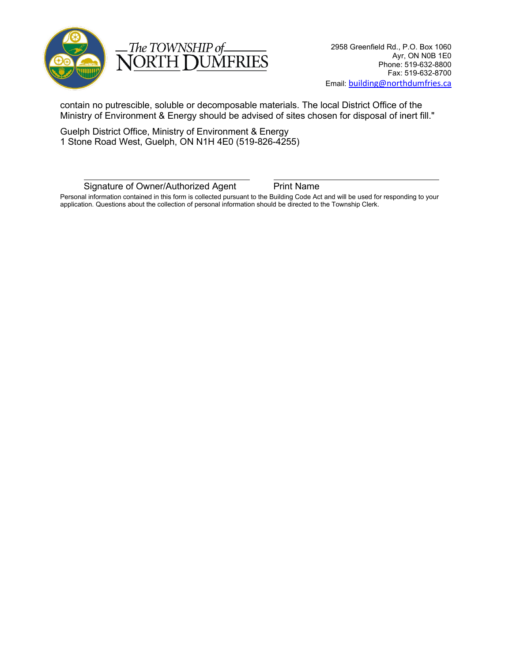

The TOWNSHIP of JORTH **DUMFRIES** 

contain no putrescible, soluble or decomposable materials. The local District Office of the Ministry of Environment & Energy should be advised of sites chosen for disposal of inert fill."

Guelph District Office, Ministry of Environment & Energy 1 Stone Road West, Guelph, ON N1H 4E0 (519-826-4255)

Signature of Owner/Authorized Agent Print Name

Personal information contained in this form is collected pursuant to the Building Code Act and will be used for responding to your application. Questions about the collection of personal information should be directed to the Township Clerk.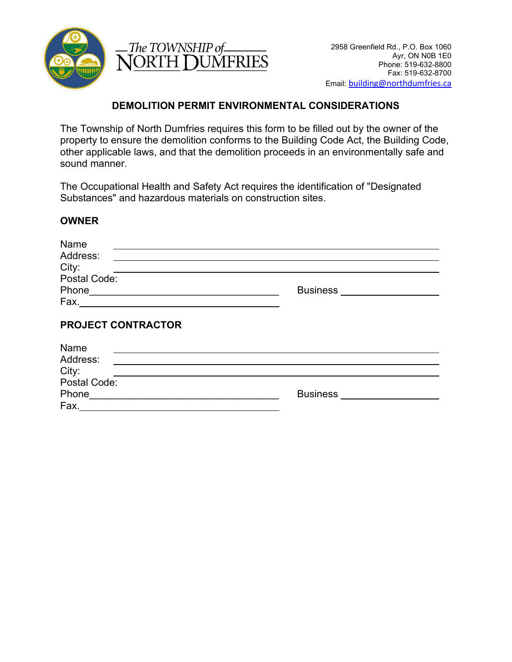



### **DEMOLITION PERMIT ENVIRONMENTAL CONSIDERATIONS**

The Township of North Dumfries requires this form to be filled out by the owner of the property to ensure the demolition conforms to the Building Code Act, the Building Code, other applicable laws, and that the demolition proceeds in an environmentally safe and sound manner.

The Occupational Health and Safety Act requires the identification of "Designated Substances" and hazardous materials on construction sites.

### **OWNER**

| Name                                                       |                 |
|------------------------------------------------------------|-----------------|
| Address:                                                   |                 |
| City:                                                      |                 |
| Postal Code:                                               |                 |
| Phone                                                      | <b>Business</b> |
| Fax.<br><u> 1989 - John Stein, Amerikaansk politiker (</u> |                 |
| <b>PROJECT CONTRACTOR</b><br>Name<br>Address:              |                 |
| City:                                                      |                 |
| Postal Code:                                               |                 |
| Phone                                                      | <b>Business</b> |
| Fax.                                                       |                 |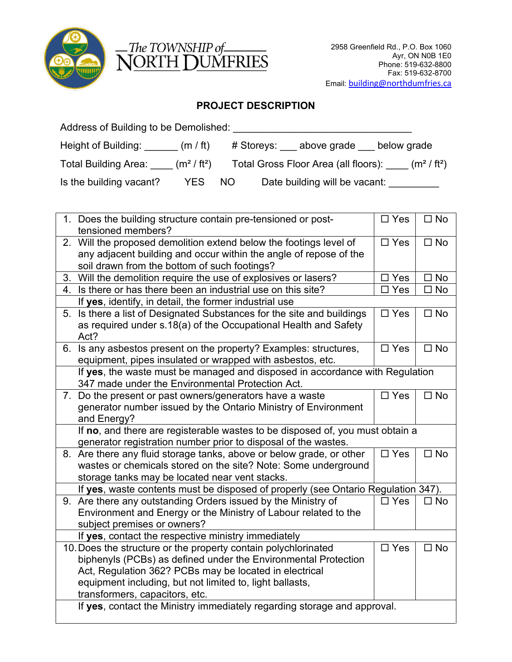

| -The TOWNSHIP of- |                |
|-------------------|----------------|
|                   | NORTH DUMFRIES |

# **PROJECT DESCRIPTION**

| Address of Building to be Demolished: |                                    |     |            |                                      |                                     |
|---------------------------------------|------------------------------------|-----|------------|--------------------------------------|-------------------------------------|
| Height of Building:                   | (m / ft)                           |     | # Storeys: | above grade                          | below grade                         |
| <b>Total Building Area:</b>           | (m <sup>2</sup> /ft <sup>2</sup> ) |     |            | Total Gross Floor Area (all floors): | (m <sup>2</sup> / ft <sup>2</sup> ) |
| Is the building vacant?               | YES.                               | NO. |            | Date building will be vacant:        |                                     |

|    | 1. Does the building structure contain pre-tensioned or post-                     | $\square$ Yes | $\Box$ No    |
|----|-----------------------------------------------------------------------------------|---------------|--------------|
|    | tensioned members?                                                                |               |              |
|    | 2. Will the proposed demolition extend below the footings level of                | $\square$ Yes | $\square$ No |
|    | any adjacent building and occur within the angle of repose of the                 |               |              |
|    | soil drawn from the bottom of such footings?                                      |               |              |
| 3. | Will the demolition require the use of explosives or lasers?                      | $\square$ Yes | $\square$ No |
|    | 4. Is there or has there been an industrial use on this site?                     | $\Box$ Yes    | $\square$ No |
|    | If yes, identify, in detail, the former industrial use                            |               |              |
|    | 5. Is there a list of Designated Substances for the site and buildings            | $\square$ Yes | $\Box$ No    |
|    | as required under s.18(a) of the Occupational Health and Safety                   |               |              |
|    | Act?                                                                              |               |              |
|    | 6. Is any asbestos present on the property? Examples: structures,                 | $\square$ Yes | $\square$ No |
|    | equipment, pipes insulated or wrapped with asbestos, etc.                         |               |              |
|    | If yes, the waste must be managed and disposed in accordance with Regulation      |               |              |
|    | 347 made under the Environmental Protection Act.                                  |               |              |
|    | 7. Do the present or past owners/generators have a waste                          | $\square$ Yes | $\square$ No |
|    | generator number issued by the Ontario Ministry of Environment                    |               |              |
|    | and Energy?                                                                       |               |              |
|    | If no, and there are registerable wastes to be disposed of, you must obtain a     |               |              |
|    | generator registration number prior to disposal of the wastes.                    |               |              |
|    | 8. Are there any fluid storage tanks, above or below grade, or other              | $\square$ Yes | $\square$ No |
|    | wastes or chemicals stored on the site? Note: Some underground                    |               |              |
|    | storage tanks may be located near vent stacks.                                    |               |              |
|    |                                                                                   |               |              |
|    | If yes, waste contents must be disposed of properly (see Ontario Regulation 347). |               |              |
|    | 9. Are there any outstanding Orders issued by the Ministry of                     | $\Box$ Yes    | $\square$ No |
|    | Environment and Energy or the Ministry of Labour related to the                   |               |              |
|    | subject premises or owners?                                                       |               |              |
|    | If yes, contact the respective ministry immediately                               |               |              |
|    | 10. Does the structure or the property contain polychlorinated                    | $\square$ Yes | $\square$ No |
|    | biphenyls (PCBs) as defined under the Environmental Protection                    |               |              |
|    | Act, Regulation 362? PCBs may be located in electrical                            |               |              |
|    | equipment including, but not limited to, light ballasts,                          |               |              |
|    | transformers, capacitors, etc.                                                    |               |              |
|    | If yes, contact the Ministry immediately regarding storage and approval.          |               |              |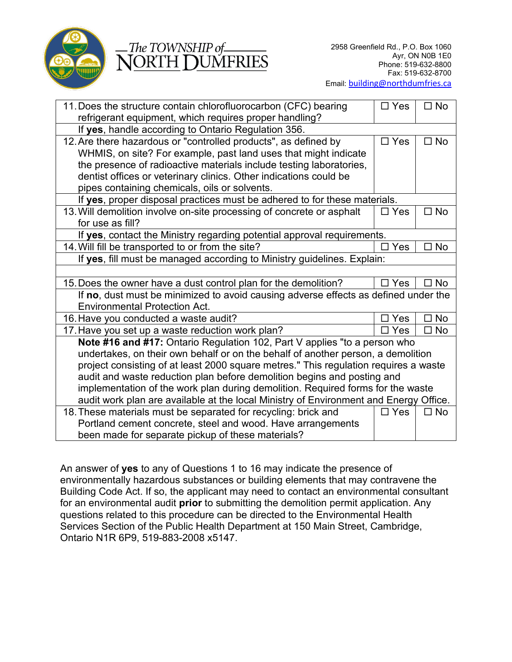

#### The TOWNSHIP of **JORTH DUMFRIES**

| 11. Does the structure contain chlorofluorocarbon (CFC) bearing                       | $\Box$ Yes | $\Box$ No    |
|---------------------------------------------------------------------------------------|------------|--------------|
| refrigerant equipment, which requires proper handling?                                |            |              |
| If yes, handle according to Ontario Regulation 356.                                   |            |              |
| 12. Are there hazardous or "controlled products", as defined by                       | $\Box$ Yes | $\square$ No |
| WHMIS, on site? For example, past land uses that might indicate                       |            |              |
| the presence of radioactive materials include testing laboratories,                   |            |              |
| dentist offices or veterinary clinics. Other indications could be                     |            |              |
| pipes containing chemicals, oils or solvents.                                         |            |              |
| If yes, proper disposal practices must be adhered to for these materials.             |            |              |
| 13. Will demolition involve on-site processing of concrete or asphalt                 | $\Box$ Yes | $\square$ No |
| for use as fill?                                                                      |            |              |
| If yes, contact the Ministry regarding potential approval requirements.               |            |              |
| 14. Will fill be transported to or from the site?                                     | Yes        | <b>No</b>    |
| If yes, fill must be managed according to Ministry guidelines. Explain:               |            |              |
|                                                                                       |            |              |
| 15. Does the owner have a dust control plan for the demolition?                       | Yes        | <b>No</b>    |
| If no, dust must be minimized to avoid causing adverse effects as defined under the   |            |              |
| <b>Environmental Protection Act.</b>                                                  |            |              |
| 16. Have you conducted a waste audit?                                                 | Yes        | <b>No</b>    |
| 17. Have you set up a waste reduction work plan?                                      | Yes        | No<br>п      |
| Note #16 and #17: Ontario Regulation 102, Part V applies "to a person who             |            |              |
| undertakes, on their own behalf or on the behalf of another person, a demolition      |            |              |
| project consisting of at least 2000 square metres." This regulation requires a waste  |            |              |
| audit and waste reduction plan before demolition begins and posting and               |            |              |
| implementation of the work plan during demolition. Required forms for the waste       |            |              |
| audit work plan are available at the local Ministry of Environment and Energy Office. |            |              |
| 18. These materials must be separated for recycling: brick and                        | $\Box$ Yes | $\square$ No |
| Portland cement concrete, steel and wood. Have arrangements                           |            |              |
| been made for separate pickup of these materials?                                     |            |              |

An answer of **yes** to any of Questions 1 to 16 may indicate the presence of environmentally hazardous substances or building elements that may contravene the Building Code Act. If so, the applicant may need to contact an environmental consultant for an environmental audit **prior** to submitting the demolition permit application. Any questions related to this procedure can be directed to the Environmental Health Services Section of the Public Health Department at 150 Main Street, Cambridge, Ontario N1R 6P9, 519-883-2008 x5147.